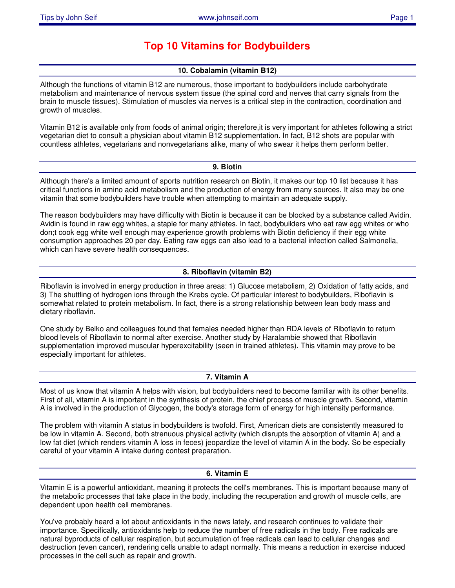# **Top 10 Vitamins for Bodybuilders**

# **10. Cobalamin (vitamin B12)**

Although the functions of vitamin B12 are numerous, those important to bodybuilders include carbohydrate metabolism and maintenance of nervous system tissue (the spinal cord and nerves that carry signals from the brain to muscle tissues). Stimulation of muscles via nerves is a critical step in the contraction, coordination and growth of muscles.

Vitamin B12 is available only from foods of animal origin; therefore,it is very important for athletes following a strict vegetarian diet to consult a physician about vitamin B12 supplementation. In fact, B12 shots are popular with countless athletes, vegetarians and nonvegetarians alike, many of who swear it helps them perform better.

### **9. Biotin**

Although there's a limited amount of sports nutrition research on Biotin, it makes our top 10 list because it has critical functions in amino acid metabolism and the production of energy from many sources. It also may be one vitamin that some bodybuilders have trouble when attempting to maintain an adequate supply.

The reason bodybuilders may have difficulty with Biotin is because it can be blocked by a substance called Avidin. Avidin is found in raw egg whites, a staple for many athletes. In fact, bodybuilders who eat raw egg whites or who don;t cook egg white well enough may experience growth problems with Biotin deficiency if their egg white consumption approaches 20 per day. Eating raw eggs can also lead to a bacterial infection called Salmonella, which can have severe health consequences.

# **8. Riboflavin (vitamin B2)**

Riboflavin is involved in energy production in three areas: 1) Glucose metabolism, 2) Oxidation of fatty acids, and 3) The shuttling of hydrogen ions through the Krebs cycle. Of particular interest to bodybuilders, Riboflavin is somewhat related to protein metabolism. In fact, there is a strong relationship between lean body mass and dietary riboflavin.

One study by Belko and colleagues found that females needed higher than RDA levels of Riboflavin to return blood levels of Riboflavin to normal after exercise. Another study by Haralambie showed that Riboflavin supplementation improved muscular hyperexcitability (seen in trained athletes). This vitamin may prove to be especially important for athletes.

# **7. Vitamin A**

Most of us know that vitamin A helps with vision, but bodybuilders need to become familiar with its other benefits. First of all, vitamin A is important in the synthesis of protein, the chief process of muscle growth. Second, vitamin A is involved in the production of Glycogen, the body's storage form of energy for high intensity performance.

The problem with vitamin A status in bodybuilders is twofold. First, American diets are consistently measured to be low in vitamin A. Second, both strenuous physical activity (which disrupts the absorption of vitamin A) and a low fat diet (which renders vitamin A loss in feces) jeopardize the level of vitamin A in the body. So be especially careful of your vitamin A intake during contest preparation.

# **6. Vitamin E**

Vitamin E is a powerful antioxidant, meaning it protects the cell's membranes. This is important because many of the metabolic processes that take place in the body, including the recuperation and growth of muscle cells, are dependent upon health cell membranes.

You've probably heard a lot about antioxidants in the news lately, and research continues to validate their importance. Specifically, antioxidants help to reduce the number of free radicals in the body. Free radicals are natural byproducts of cellular respiration, but accumulation of free radicals can lead to cellular changes and destruction (even cancer), rendering cells unable to adapt normally. This means a reduction in exercise induced processes in the cell such as repair and growth.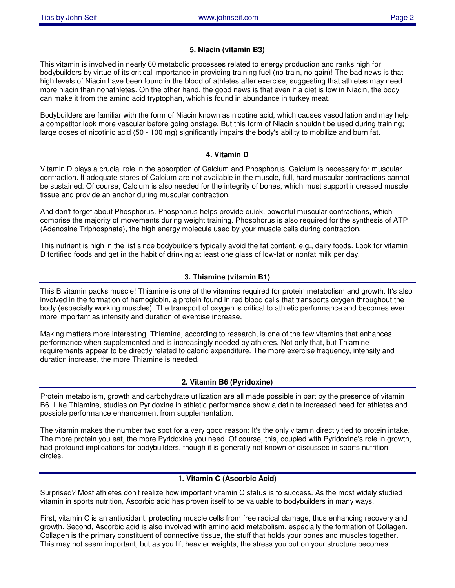# **5. Niacin (vitamin B3)**

This vitamin is involved in nearly 60 metabolic processes related to energy production and ranks high for bodybuilders by virtue of its critical importance in providing training fuel (no train, no gain)! The bad news is that high levels of Niacin have been found in the blood of athletes after exercise, suggesting that athletes may need more niacin than nonathletes. On the other hand, the good news is that even if a diet is low in Niacin, the body can make it from the amino acid tryptophan, which is found in abundance in turkey meat.

Bodybuilders are familiar with the form of Niacin known as nicotine acid, which causes vasodilation and may help a competitor look more vascular before going onstage. But this form of Niacin shouldn't be used during training; large doses of nicotinic acid (50 - 100 mg) significantly impairs the body's ability to mobilize and burn fat.

# **4. Vitamin D**

Vitamin D plays a crucial role in the absorption of Calcium and Phosphorus. Calcium is necessary for muscular contraction. If adequate stores of Calcium are not available in the muscle, full, hard muscular contractions cannot be sustained. Of course, Calcium is also needed for the integrity of bones, which must support increased muscle tissue and provide an anchor during muscular contraction.

And don't forget about Phosphorus. Phosphorus helps provide quick, powerful muscular contractions, which comprise the majority of movements during weight training. Phosphorus is also required for the synthesis of ATP (Adenosine Triphosphate), the high energy molecule used by your muscle cells during contraction.

This nutrient is high in the list since bodybuilders typically avoid the fat content, e.g., dairy foods. Look for vitamin D fortified foods and get in the habit of drinking at least one glass of low-fat or nonfat milk per day.

# **3. Thiamine (vitamin B1)**

This B vitamin packs muscle! Thiamine is one of the vitamins required for protein metabolism and growth. It's also involved in the formation of hemoglobin, a protein found in red blood cells that transports oxygen throughout the body (especially working muscles). The transport of oxygen is critical to athletic performance and becomes even more important as intensity and duration of exercise increase.

Making matters more interesting, Thiamine, according to research, is one of the few vitamins that enhances performance when supplemented and is increasingly needed by athletes. Not only that, but Thiamine requirements appear to be directly related to caloric expenditure. The more exercise frequency, intensity and duration increase, the more Thiamine is needed.

# **2. Vitamin B6 (Pyridoxine)**

Protein metabolism, growth and carbohydrate utilization are all made possible in part by the presence of vitamin B6. Like Thiamine, studies on Pyridoxine in athletic performance show a definite increased need for athletes and possible performance enhancement from supplementation.

The vitamin makes the number two spot for a very good reason: It's the only vitamin directly tied to protein intake. The more protein you eat, the more Pyridoxine you need. Of course, this, coupled with Pyridoxine's role in growth, had profound implications for bodybuilders, though it is generally not known or discussed in sports nutrition circles.

# **1. Vitamin C (Ascorbic Acid)**

Surprised? Most athletes don't realize how important vitamin C status is to success. As the most widely studied vitamin in sports nutrition, Ascorbic acid has proven itself to be valuable to bodybuilders in many ways.

First, vitamin C is an antioxidant, protecting muscle cells from free radical damage, thus enhancing recovery and growth. Second, Ascorbic acid is also involved with amino acid metabolism, especially the formation of Collagen. Collagen is the primary constituent of connective tissue, the stuff that holds your bones and muscles together. This may not seem important, but as you lift heavier weights, the stress you put on your structure becomes